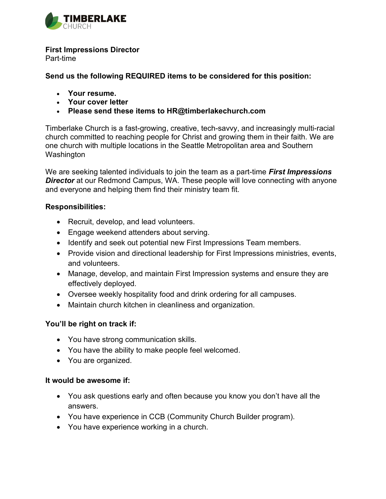

#### First Impressions Director

Part-time

Send us the following REQUIRED items to be considered for this position:

- Your resume.
- Your cover letter
- Please send these items to HR@timberlakechurch.com

Timberlake Church is a fast-growing, creative, tech-savvy, and increasingly multi-racial church committed to reaching people for Christ and growing them in their faith. We are one church with multiple locations in the Seattle Metropolitan area and Southern Washington

We are seeking talented individuals to join the team as a part-time **First Impressions Director** at our Redmond Campus, WA. These people will love connecting with anyone and everyone and helping them find their ministry team fit.

### Responsibilities:

- Recruit, develop, and lead volunteers.
- Engage weekend attenders about serving.
- Identify and seek out potential new First Impressions Team members.
- Provide vision and directional leadership for First Impressions ministries, events, and volunteers.
- Manage, develop, and maintain First Impression systems and ensure they are effectively deployed.
- Oversee weekly hospitality food and drink ordering for all campuses.
- Maintain church kitchen in cleanliness and organization.

## You'll be right on track if:

- You have strong communication skills.
- You have the ability to make people feel welcomed.
- You are organized.

### It would be awesome if:

- You ask questions early and often because you know you don't have all the answers.
- You have experience in CCB (Community Church Builder program).
- You have experience working in a church.